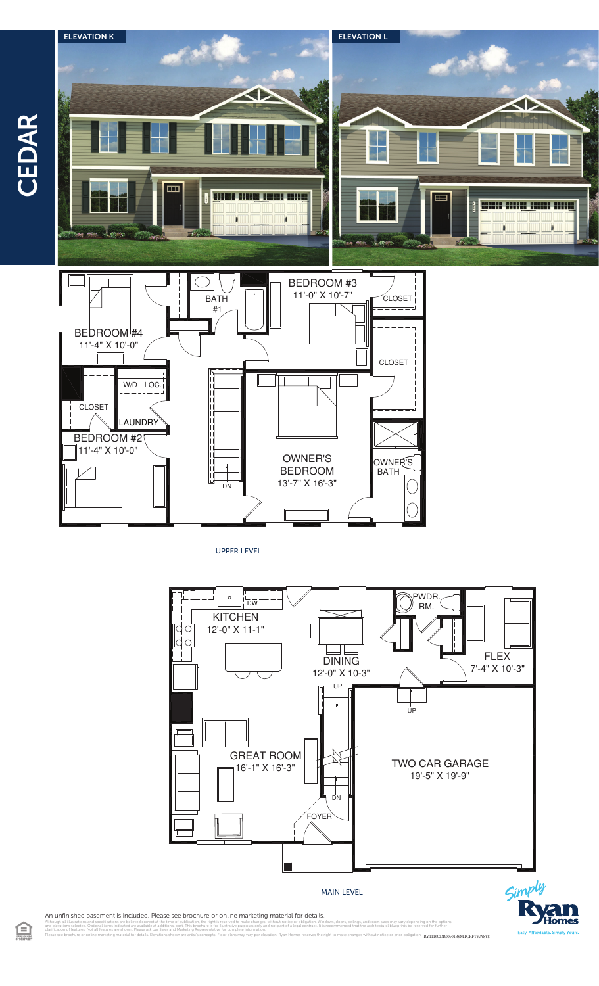

UPPER LEVEL



Simply

An unfinished basement is included. Please see brochure or online marketing material for details.

illustrations and specifications are believed correct at the time of publication, the right is reserved to make changes, without notice or obligation. Windows, doors, ceilings, and room sizes may vary depending on the opti clarification of features. Not all features are shown. Please ask our Sales and Marketing Representative for complete information. Please see brochure or online marketing material for details. Elevations shown are artist's concepts. Floor plans may vary per elevation. Ryan Homes reserves the right to make changes without notice or prior obligation. **R** 

 $\bigoplus$